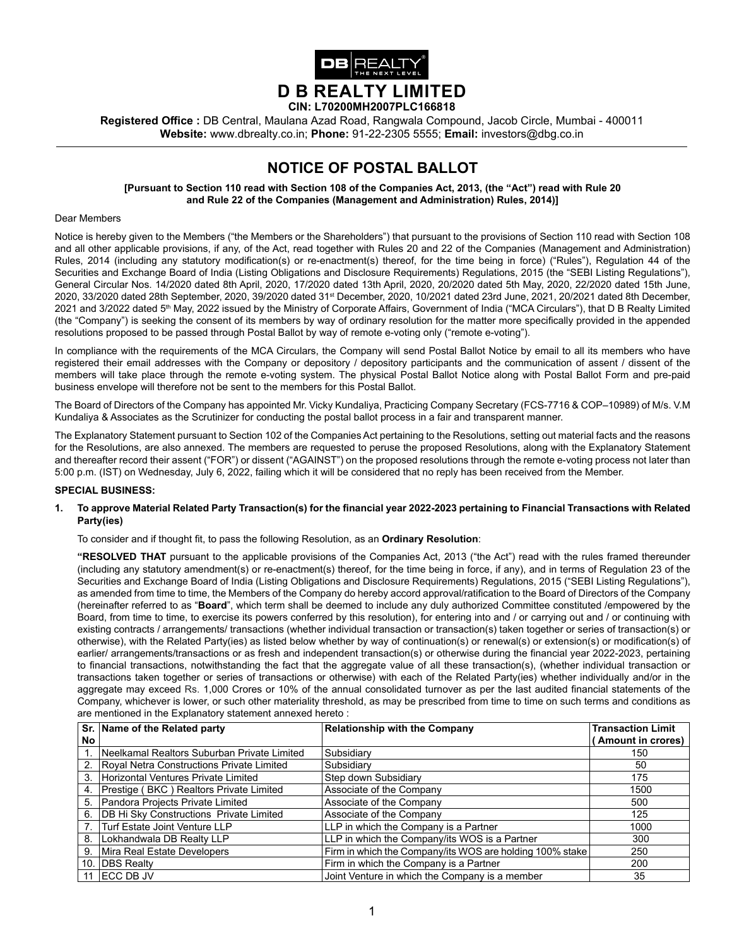

**Registered Office :** DB Central, Maulana Azad Road, Rangwala Compound, Jacob Circle, Mumbai - 400011 **Website:** www.dbrealty.co.in; **Phone:** 91-22-2305 5555; **Email:** investors@dbg.co.in

# **NOTICE OF POSTAL BALLOT**

**[Pursuant to Section 110 read with Section 108 of the Companies Act, 2013, (the "Act") read with Rule 20 and Rule 22 of the Companies (Management and Administration) Rules, 2014)]**

#### Dear Members

Notice is hereby given to the Members ("the Members or the Shareholders") that pursuant to the provisions of Section 110 read with Section 108 and all other applicable provisions, if any, of the Act, read together with Rules 20 and 22 of the Companies (Management and Administration) Rules, 2014 (including any statutory modification(s) or re-enactment(s) thereof, for the time being in force) ("Rules"), Regulation 44 of the Securities and Exchange Board of India (Listing Obligations and Disclosure Requirements) Regulations, 2015 (the "SEBI Listing Regulations"), General Circular Nos. 14/2020 dated 8th April, 2020, 17/2020 dated 13th April, 2020, 20/2020 dated 5th May, 2020, 22/2020 dated 15th June, 2020, 33/2020 dated 28th September, 2020, 39/2020 dated 31st December, 2020, 10/2021 dated 23rd June, 2021, 20/2021 dated 8th December, 2021 and 3/2022 dated 5<sup>th</sup> May, 2022 issued by the Ministry of Corporate Affairs, Government of India ("MCA Circulars"), that D B Realty Limited (the "Company") is seeking the consent of its members by way of ordinary resolution for the matter more specifically provided in the appended resolutions proposed to be passed through Postal Ballot by way of remote e-voting only ("remote e-voting").

In compliance with the requirements of the MCA Circulars, the Company will send Postal Ballot Notice by email to all its members who have registered their email addresses with the Company or depository / depository participants and the communication of assent / dissent of the members will take place through the remote e-voting system. The physical Postal Ballot Notice along with Postal Ballot Form and pre-paid business envelope will therefore not be sent to the members for this Postal Ballot.

The Board of Directors of the Company has appointed Mr. Vicky Kundaliya, Practicing Company Secretary (FCS-7716 & COP–10989) of M/s. V.M Kundaliya & Associates as the Scrutinizer for conducting the postal ballot process in a fair and transparent manner.

The Explanatory Statement pursuant to Section 102 of the Companies Act pertaining to the Resolutions, setting out material facts and the reasons for the Resolutions, are also annexed. The members are requested to peruse the proposed Resolutions, along with the Explanatory Statement and thereafter record their assent ("FOR") or dissent ("AGAINST") on the proposed resolutions through the remote e-voting process not later than 5:00 p.m. (IST) on Wednesday, July 6, 2022, failing which it will be considered that no reply has been received from the Member.

#### **SPECIAL BUSINESS:**

#### **1. To approve Material Related Party Transaction(s) for the financial year 2022-2023 pertaining to Financial Transactions with Related Party(ies)**

To consider and if thought fit, to pass the following Resolution, as an **Ordinary Resolution**:

**"RESOLVED THAT** pursuant to the applicable provisions of the Companies Act, 2013 ("the Act") read with the rules framed thereunder (including any statutory amendment(s) or re-enactment(s) thereof, for the time being in force, if any), and in terms of Regulation 23 of the Securities and Exchange Board of India (Listing Obligations and Disclosure Requirements) Regulations, 2015 ("SEBI Listing Regulations"), as amended from time to time, the Members of the Company do hereby accord approval/ratification to the Board of Directors of the Company (hereinafter referred to as "**Board**", which term shall be deemed to include any duly authorized Committee constituted /empowered by the Board, from time to time, to exercise its powers conferred by this resolution), for entering into and / or carrying out and / or continuing with existing contracts / arrangements/ transactions (whether individual transaction or transaction(s) taken together or series of transaction(s) or otherwise), with the Related Party(ies) as listed below whether by way of continuation(s) or renewal(s) or extension(s) or modification(s) of earlier/ arrangements/transactions or as fresh and independent transaction(s) or otherwise during the financial year 2022-2023, pertaining to financial transactions, notwithstanding the fact that the aggregate value of all these transaction(s), (whether individual transaction or transactions taken together or series of transactions or otherwise) with each of the Related Party(ies) whether individually and/or in the aggregate may exceed Rs. 1,000 Crores or 10% of the annual consolidated turnover as per the last audited financial statements of the Company, whichever is lower, or such other materiality threshold, as may be prescribed from time to time on such terms and conditions as are mentioned in the Explanatory statement annexed hereto :

|     | Sr. Name of the Related party               | <b>Relationship with the Company</b>                     | <b>Transaction Limit</b> |
|-----|---------------------------------------------|----------------------------------------------------------|--------------------------|
| No  |                                             |                                                          | (Amount in crores)       |
|     | Neelkamal Realtors Suburban Private Limited | Subsidiarv                                               | 150                      |
| 2.  | Royal Netra Constructions Private Limited   | Subsidiarv                                               | 50                       |
| 3.  | Horizontal Ventures Private Limited         | Step down Subsidiary                                     | 175                      |
| 4.  | Prestige (BKC) Realtors Private Limited     | Associate of the Company                                 | 1500                     |
| 5.  | Pandora Projects Private Limited            | Associate of the Company                                 | 500                      |
| 6.  | DB Hi Sky Constructions Private Limited     | Associate of the Company                                 | 125                      |
|     | Turf Estate Joint Venture LLP               | LLP in which the Company is a Partner                    | 1000                     |
| 8.  | Lokhandwala DB Realty LLP                   | LLP in which the Company/its WOS is a Partner            | 300                      |
| 9.  | Mira Real Estate Developers                 | Firm in which the Company/its WOS are holding 100% stake | 250                      |
| 10. | <b>IDBS Realty</b>                          | Firm in which the Company is a Partner                   | 200                      |
| 11  | <b>IECC DB JV</b>                           | Joint Venture in which the Company is a member           | 35                       |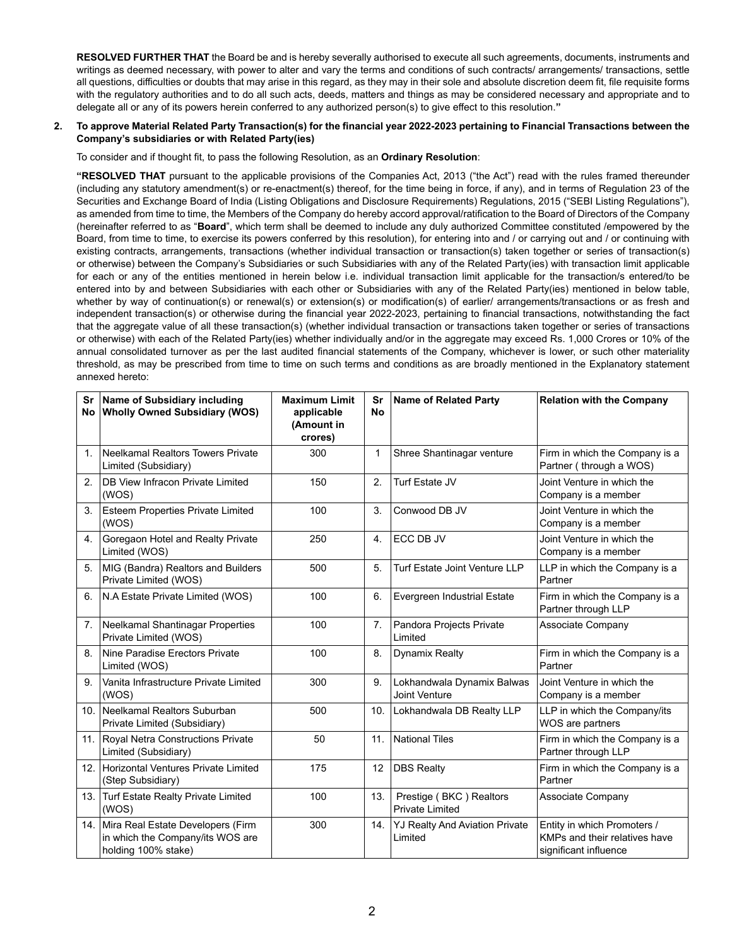**RESOLVED FURTHER THAT** the Board be and is hereby severally authorised to execute all such agreements, documents, instruments and writings as deemed necessary, with power to alter and vary the terms and conditions of such contracts/ arrangements/ transactions, settle all questions, difficulties or doubts that may arise in this regard, as they may in their sole and absolute discretion deem fit, file requisite forms with the regulatory authorities and to do all such acts, deeds, matters and things as may be considered necessary and appropriate and to delegate all or any of its powers herein conferred to any authorized person(s) to give effect to this resolution.**"**

#### **2. To approve Material Related Party Transaction(s) for the financial year 2022-2023 pertaining to Financial Transactions between the Company's subsidiaries or with Related Party(ies)**

To consider and if thought fit, to pass the following Resolution, as an **Ordinary Resolution**:

**"RESOLVED THAT** pursuant to the applicable provisions of the Companies Act, 2013 ("the Act") read with the rules framed thereunder (including any statutory amendment(s) or re-enactment(s) thereof, for the time being in force, if any), and in terms of Regulation 23 of the Securities and Exchange Board of India (Listing Obligations and Disclosure Requirements) Regulations, 2015 ("SEBI Listing Regulations"), as amended from time to time, the Members of the Company do hereby accord approval/ratification to the Board of Directors of the Company (hereinafter referred to as "**Board**", which term shall be deemed to include any duly authorized Committee constituted /empowered by the Board, from time to time, to exercise its powers conferred by this resolution), for entering into and / or carrying out and / or continuing with existing contracts, arrangements, transactions (whether individual transaction or transaction(s) taken together or series of transaction(s) or otherwise) between the Company's Subsidiaries or such Subsidiaries with any of the Related Party(ies) with transaction limit applicable for each or any of the entities mentioned in herein below i.e. individual transaction limit applicable for the transaction/s entered/to be entered into by and between Subsidiaries with each other or Subsidiaries with any of the Related Party(ies) mentioned in below table, whether by way of continuation(s) or renewal(s) or extension(s) or modification(s) of earlier/ arrangements/transactions or as fresh and independent transaction(s) or otherwise during the financial year 2022-2023, pertaining to financial transactions, notwithstanding the fact that the aggregate value of all these transaction(s) (whether individual transaction or transactions taken together or series of transactions or otherwise) with each of the Related Party(ies) whether individually and/or in the aggregate may exceed Rs. 1,000 Crores or 10% of the annual consolidated turnover as per the last audited financial statements of the Company, whichever is lower, or such other materiality threshold, as may be prescribed from time to time on such terms and conditions as are broadly mentioned in the Explanatory statement annexed hereto:

| Sr               | <b>Name of Subsidiary including</b><br>No Wholly Owned Subsidiary (WOS)                      | <b>Maximum Limit</b><br>applicable<br>(Amount in<br>crores) | Sr<br><b>No</b> | <b>Name of Related Party</b>                      | <b>Relation with the Company</b>                                                      |
|------------------|----------------------------------------------------------------------------------------------|-------------------------------------------------------------|-----------------|---------------------------------------------------|---------------------------------------------------------------------------------------|
| $\mathbf{1}$     | Neelkamal Realtors Towers Private<br>Limited (Subsidiary)                                    | 300                                                         | 1               | Shree Shantinagar venture                         | Firm in which the Company is a<br>Partner (through a WOS)                             |
| 2.               | DB View Infracon Private Limited<br>(WOS)                                                    | 150                                                         | 2.              | Turf Estate JV                                    | Joint Venture in which the<br>Company is a member                                     |
| 3.               | <b>Esteem Properties Private Limited</b><br>(WOS)                                            | 100                                                         | 3.              | Conwood DB JV                                     | Joint Venture in which the<br>Company is a member                                     |
| $\overline{4}$ . | Goregaon Hotel and Realty Private<br>Limited (WOS)                                           | 250                                                         | 4.              | ECC DB JV                                         | Joint Venture in which the<br>Company is a member                                     |
| 5.               | MIG (Bandra) Realtors and Builders<br>Private Limited (WOS)                                  | 500                                                         | 5.              | Turf Estate Joint Venture LLP                     | LLP in which the Company is a<br>Partner                                              |
| 6.               | N.A Estate Private Limited (WOS)                                                             | 100                                                         | 6.              | <b>Evergreen Industrial Estate</b>                | Firm in which the Company is a<br>Partner through LLP                                 |
| 7.               | Neelkamal Shantinagar Properties<br>Private Limited (WOS)                                    | 100                                                         | 7.              | Pandora Projects Private<br>Limited               | Associate Company                                                                     |
| 8.               | Nine Paradise Erectors Private<br>Limited (WOS)                                              | 100                                                         | 8.              | <b>Dynamix Realty</b>                             | Firm in which the Company is a<br>Partner                                             |
| 9.               | Vanita Infrastructure Private Limited<br>(WOS)                                               | 300                                                         | 9.              | Lokhandwala Dynamix Balwas<br>Joint Venture       | Joint Venture in which the<br>Company is a member                                     |
| 10.              | Neelkamal Realtors Suburban<br>Private Limited (Subsidiary)                                  | 500                                                         | 10.             | Lokhandwala DB Realty LLP                         | LLP in which the Company/its<br>WOS are partners                                      |
|                  | 11. Royal Netra Constructions Private<br>Limited (Subsidiary)                                | 50                                                          | 11.             | <b>National Tiles</b>                             | Firm in which the Company is a<br>Partner through LLP                                 |
| 12.              | Horizontal Ventures Private Limited<br>(Step Subsidiary)                                     | 175                                                         | 12              | <b>DBS Realty</b>                                 | Firm in which the Company is a<br>Partner                                             |
|                  | 13. Turf Estate Realty Private Limited<br>(WOS)                                              | 100                                                         | 13.             | Prestige (BKC) Realtors<br><b>Private Limited</b> | Associate Company                                                                     |
| 14.              | Mira Real Estate Developers (Firm<br>in which the Company/its WOS are<br>holding 100% stake) | 300                                                         | 14.             | <b>YJ Realty And Aviation Private</b><br>Limited  | Entity in which Promoters /<br>KMPs and their relatives have<br>significant influence |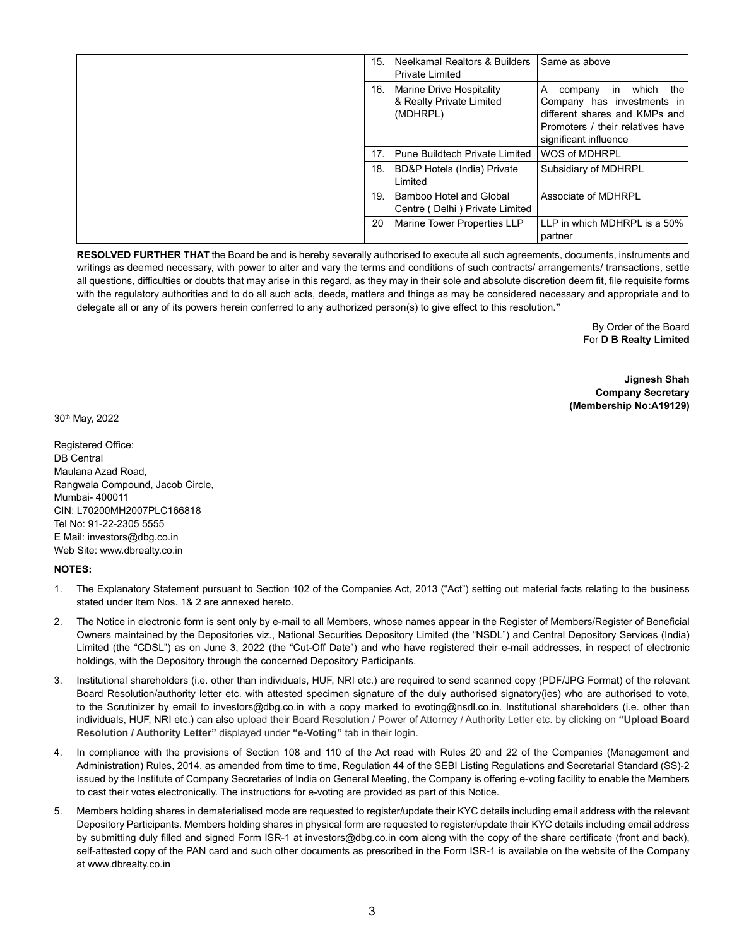| 15. | Neelkamal Realtors & Builders<br><b>Private Limited</b>          | Same as above                                                                                                                                                  |
|-----|------------------------------------------------------------------|----------------------------------------------------------------------------------------------------------------------------------------------------------------|
| 16. | Marine Drive Hospitality<br>& Realty Private Limited<br>(MDHRPL) | which<br>the<br>A<br>in<br>company<br>Company has investments in<br>different shares and KMPs and<br>Promoters / their relatives have<br>significant influence |
| 17  | Pune Buildtech Private Limited                                   | WOS of MDHRPL                                                                                                                                                  |
| 18. | BD&P Hotels (India) Private<br>Limited                           | Subsidiary of MDHRPL                                                                                                                                           |
| 19. | Bamboo Hotel and Global<br>Centre (Delhi) Private Limited        | Associate of MDHRPL                                                                                                                                            |
| 20  | Marine Tower Properties LLP                                      | LLP in which MDHRPL is a 50%<br>partner                                                                                                                        |

**RESOLVED FURTHER THAT** the Board be and is hereby severally authorised to execute all such agreements, documents, instruments and writings as deemed necessary, with power to alter and vary the terms and conditions of such contracts/ arrangements/ transactions, settle all questions, difficulties or doubts that may arise in this regard, as they may in their sole and absolute discretion deem fit, file requisite forms with the regulatory authorities and to do all such acts, deeds, matters and things as may be considered necessary and appropriate and to delegate all or any of its powers herein conferred to any authorized person(s) to give effect to this resolution.**"**

> By Order of the Board For **D B Realty Limited**

**Jignesh Shah Company Secretary (Membership No:A19129)**

30th May, 2022

Registered Office: DB Central Maulana Azad Road, Rangwala Compound, Jacob Circle, Mumbai- 400011 CIN: L70200MH2007PLC166818 Tel No: 91-22-2305 5555 E Mail: investors@dbg.co.in Web Site: www.dbrealty.co.in

## **NOTES:**

- 1. The Explanatory Statement pursuant to Section 102 of the Companies Act, 2013 ("Act") setting out material facts relating to the business stated under Item Nos. 1& 2 are annexed hereto.
- 2. The Notice in electronic form is sent only by e-mail to all Members, whose names appear in the Register of Members/Register of Beneficial Owners maintained by the Depositories viz., National Securities Depository Limited (the "NSDL") and Central Depository Services (India) Limited (the "CDSL") as on June 3, 2022 (the "Cut-Off Date") and who have registered their e-mail addresses, in respect of electronic holdings, with the Depository through the concerned Depository Participants.
- 3. Institutional shareholders (i.e. other than individuals, HUF, NRI etc.) are required to send scanned copy (PDF/JPG Format) of the relevant Board Resolution/authority letter etc. with attested specimen signature of the duly authorised signatory(ies) who are authorised to vote, to the Scrutinizer by email to investors@dbg.co.in with a copy marked to evoting@nsdl.co.in. Institutional shareholders (i.e. other than individuals, HUF, NRI etc.) can also upload their Board Resolution / Power of Attorney / Authority Letter etc. by clicking on **"Upload Board Resolution / Authority Letter"** displayed under **"e-Voting"** tab in their login.
- 4. In compliance with the provisions of Section 108 and 110 of the Act read with Rules 20 and 22 of the Companies (Management and Administration) Rules, 2014, as amended from time to time, Regulation 44 of the SEBI Listing Regulations and Secretarial Standard (SS)-2 issued by the Institute of Company Secretaries of India on General Meeting, the Company is offering e-voting facility to enable the Members to cast their votes electronically. The instructions for e-voting are provided as part of this Notice.
- 5. Members holding shares in dematerialised mode are requested to register/update their KYC details including email address with the relevant Depository Participants. Members holding shares in physical form are requested to register/update their KYC details including email address by submitting duly filled and signed Form ISR-1 at investors@dbg.co.in com along with the copy of the share certificate (front and back), self-attested copy of the PAN card and such other documents as prescribed in the Form ISR-1 is available on the website of the Company at www.dbrealty.co.in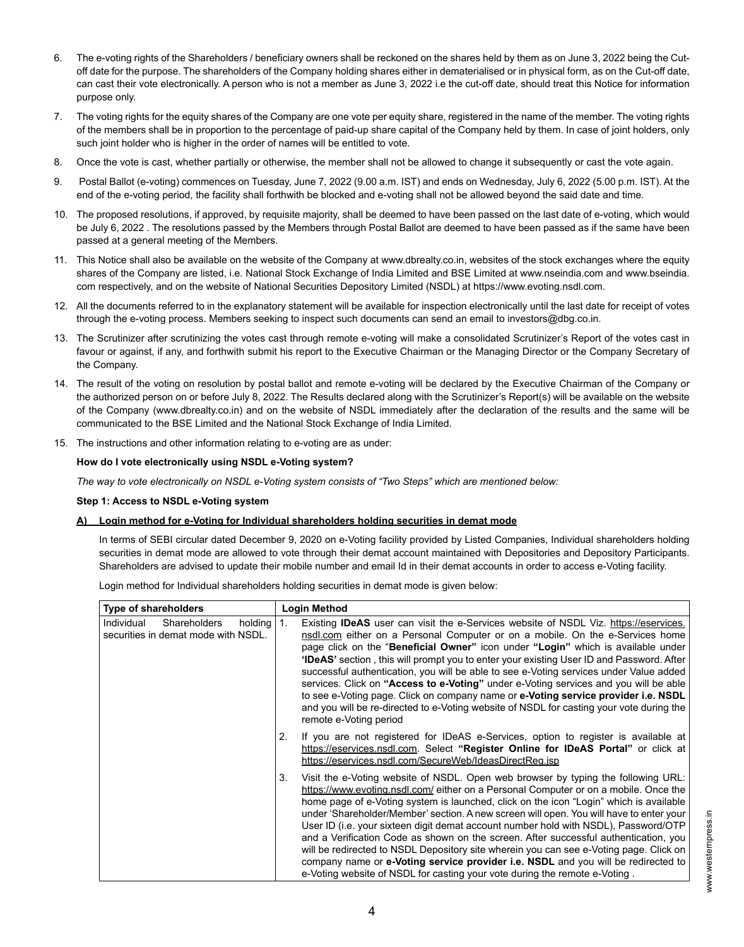- 6. The e-voting rights of the Shareholders / beneficiary owners shall be reckoned on the shares held by them as on June 3, 2022 being the Cutoff date for the purpose. The shareholders of the Company holding shares either in dematerialised or in physical form, as on the Cut-off date, can cast their vote electronically. A person who is not a member as June 3, 2022 i.e the cut-off date, should treat this Notice for information purpose only.
- 7. The voting rights for the equity shares of the Company are one vote per equity share, registered in the name of the member. The voting rights of the members shall be in proportion to the percentage of paid-up share capital of the Company held by them. In case of joint holders, only such joint holder who is higher in the order of names will be entitled to vote.
- 8. Once the vote is cast, whether partially or otherwise, the member shall not be allowed to change it subsequently or cast the vote again.
- 9. Postal Ballot (e-voting) commences on Tuesday, June 7, 2022 (9.00 a.m. IST) and ends on Wednesday, July 6, 2022 (5.00 p.m. IST). At the end of the e-voting period, the facility shall forthwith be blocked and e-voting shall not be allowed beyond the said date and time.
- 10. The proposed resolutions, if approved, by requisite majority, shall be deemed to have been passed on the last date of e-voting, which would be July 6, 2022 . The resolutions passed by the Members through Postal Ballot are deemed to have been passed as if the same have been passed at a general meeting of the Members.
- 11. This Notice shall also be available on the website of the Company at www.dbrealty.co.in, websites of the stock exchanges where the equity shares of the Company are listed, i.e. National Stock Exchange of India Limited and BSE Limited at www.nseindia.com and www.bseindia. com respectively, and on the website of National Securities Depository Limited (NSDL) at https://www.evoting.nsdl.com.
- 12. All the documents referred to in the explanatory statement will be available for inspection electronically until the last date for receipt of votes through the e-voting process. Members seeking to inspect such documents can send an email to investors@dbg.co.in.
- 13. The Scrutinizer after scrutinizing the votes cast through remote e-voting will make a consolidated Scrutinizer's Report of the votes cast in favour or against, if any, and forthwith submit his report to the Executive Chairman or the Managing Director or the Company Secretary of the Company.
- 14. The result of the voting on resolution by postal ballot and remote e-voting will be declared by the Executive Chairman of the Company or the authorized person on or before July 8, 2022. The Results declared along with the Scrutinizer's Report(s) will be available on the website of the Company (www.dbrealty.co.in) and on the website of NSDL immediately after the declaration of the results and the same will be communicated to the BSE Limited and the National Stock Exchange of India Limited.
- 15. The instructions and other information relating to e-voting are as under:

## **How do I vote electronically using NSDL e-Voting system?**

*The way to vote electronically on NSDL e-Voting system consists of "Two Steps" which are mentioned below:*

## **Step 1: Access to NSDL e-Voting system**

# **A) Login method for e-Voting for Individual shareholders holding securities in demat mode**

In terms of SEBI circular dated December 9, 2020 on e-Voting facility provided by Listed Companies, Individual shareholders holding securities in demat mode are allowed to vote through their demat account maintained with Depositories and Depository Participants. Shareholders are advised to update their mobile number and email Id in their demat accounts in order to access e-Voting facility.

Login method for Individual shareholders holding securities in demat mode is given below:

| <b>Type of shareholders</b>                                                         | Login Method                                                                                                                                                                                                                                                                                                                                                                                                                                                                                                                                                                                                                                                                                                                                                                                                     |
|-------------------------------------------------------------------------------------|------------------------------------------------------------------------------------------------------------------------------------------------------------------------------------------------------------------------------------------------------------------------------------------------------------------------------------------------------------------------------------------------------------------------------------------------------------------------------------------------------------------------------------------------------------------------------------------------------------------------------------------------------------------------------------------------------------------------------------------------------------------------------------------------------------------|
| <b>Shareholders</b><br>Individual<br>holding<br>securities in demat mode with NSDL. | Existing <b>IDeAS</b> user can visit the e-Services website of NSDL Viz. https://eservices.<br>1.<br>nsdl.com either on a Personal Computer or on a mobile. On the e-Services home<br>page click on the " <b>Beneficial Owner</b> " icon under " <b>Login</b> " which is available under<br><b>'IDeAS'</b> section, this will prompt you to enter your existing User ID and Password. After<br>successful authentication, you will be able to see e-Voting services under Value added<br>services. Click on "Access to e-Voting" under e-Voting services and you will be able<br>to see e-Voting page. Click on company name or e-Voting service provider i.e. NSDL<br>and you will be re-directed to e-Voting website of NSDL for casting your vote during the<br>remote e-Voting period                        |
|                                                                                     | If you are not registered for IDeAS e-Services, option to register is available at<br>2.<br>https://eservices.nsdl.com. Select "Register Online for IDeAS Portal" or click at<br>https://eservices.nsdl.com/SecureWeb/IdeasDirectReq.jsp                                                                                                                                                                                                                                                                                                                                                                                                                                                                                                                                                                         |
|                                                                                     | Visit the e-Voting website of NSDL. Open web browser by typing the following URL:<br>3.<br>https://www.evoting.nsdl.com/ either on a Personal Computer or on a mobile. Once the<br>home page of e-Voting system is launched, click on the icon "Login" which is available<br>under 'Shareholder/Member' section. A new screen will open. You will have to enter your<br>User ID (i.e. your sixteen digit demat account number hold with NSDL), Password/OTP<br>and a Verification Code as shown on the screen. After successful authentication, you<br>will be redirected to NSDL Depository site wherein you can see e-Voting page. Click on<br>company name or e-Voting service provider i.e. NSDL and you will be redirected to<br>e-Voting website of NSDL for casting your vote during the remote e-Voting. |

www.westernpress.in www.westernpress.in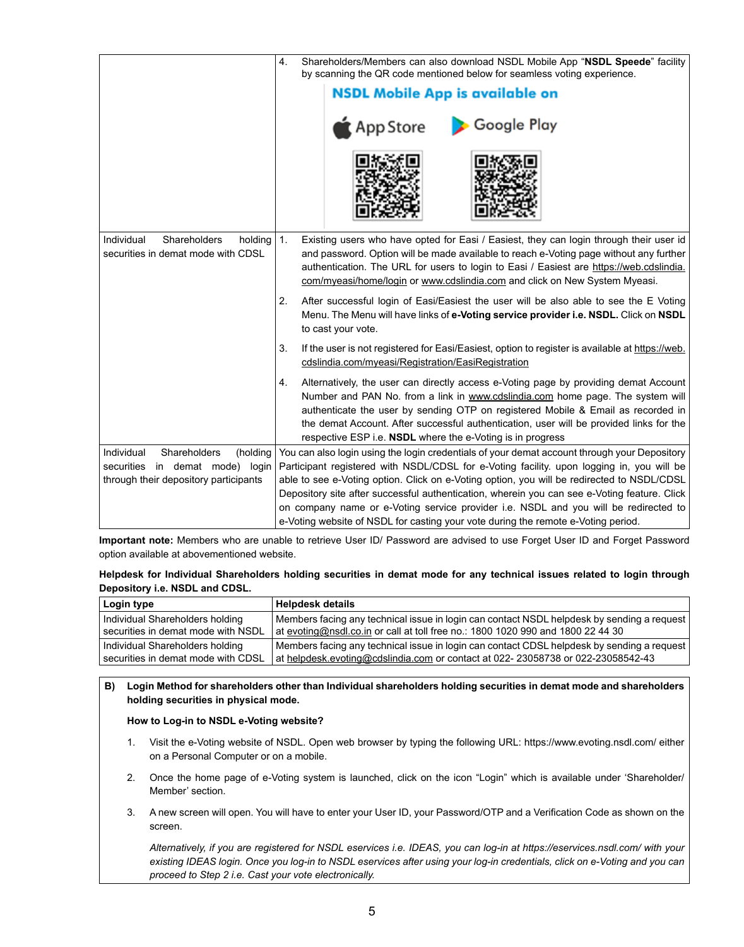|                                                                             | Shareholders/Members can also download NSDL Mobile App "NSDL Speede" facility<br>4.<br>by scanning the QR code mentioned below for seamless voting experience.                                                                                                                                                                                                                                                                   |
|-----------------------------------------------------------------------------|----------------------------------------------------------------------------------------------------------------------------------------------------------------------------------------------------------------------------------------------------------------------------------------------------------------------------------------------------------------------------------------------------------------------------------|
|                                                                             | <b>NSDL Mobile App is available on</b>                                                                                                                                                                                                                                                                                                                                                                                           |
|                                                                             | Google Play<br>App Store }                                                                                                                                                                                                                                                                                                                                                                                                       |
|                                                                             |                                                                                                                                                                                                                                                                                                                                                                                                                                  |
| Individual<br>Shareholders<br>holding<br>securities in demat mode with CDSL | 1.<br>Existing users who have opted for Easi / Easiest, they can login through their user id<br>and password. Option will be made available to reach e-Voting page without any further<br>authentication. The URL for users to login to Easi / Easiest are https://web.cdslindia.<br>com/myeasi/home/login or www.cdslindia.com and click on New System Myeasi.                                                                  |
|                                                                             | After successful login of Easi/Easiest the user will be also able to see the E Voting<br>2.<br>Menu. The Menu will have links of e-Voting service provider i.e. NSDL. Click on NSDL<br>to cast your vote.                                                                                                                                                                                                                        |
|                                                                             | If the user is not registered for Easi/Easiest, option to register is available at https://web.<br>3.<br>cdslindia.com/myeasi/Registration/EasiRegistration                                                                                                                                                                                                                                                                      |
|                                                                             | Alternatively, the user can directly access e-Voting page by providing demat Account<br>4.<br>Number and PAN No. from a link in www.cdslindia.com home page. The system will<br>authenticate the user by sending OTP on registered Mobile & Email as recorded in<br>the demat Account. After successful authentication, user will be provided links for the<br>respective ESP i.e. <b>NSDL</b> where the e-Voting is in progress |
| Individual<br>Shareholders<br>(holding                                      | You can also login using the login credentials of your demat account through your Depository                                                                                                                                                                                                                                                                                                                                     |
| securities in demat mode) login                                             | Participant registered with NSDL/CDSL for e-Voting facility. upon logging in, you will be                                                                                                                                                                                                                                                                                                                                        |
| through their depository participants                                       | able to see e-Voting option. Click on e-Voting option, you will be redirected to NSDL/CDSL<br>Depository site after successful authentication, wherein you can see e-Voting feature. Click                                                                                                                                                                                                                                       |
|                                                                             | on company name or e-Voting service provider i.e. NSDL and you will be redirected to<br>e-Voting website of NSDL for casting your vote during the remote e-Voting period.                                                                                                                                                                                                                                                        |

**Important note:** Members who are unable to retrieve User ID/ Password are advised to use Forget User ID and Forget Password option available at abovementioned website.

| Helpdesk for Individual Shareholders holding securities in demat mode for any technical issues related to login through |  |  |  |  |
|-------------------------------------------------------------------------------------------------------------------------|--|--|--|--|
| Depository i.e. NSDL and CDSL.                                                                                          |  |  |  |  |

| Login type                         | <b>Helpdesk details</b>                                                                    |
|------------------------------------|--------------------------------------------------------------------------------------------|
| Individual Shareholders holding    | Members facing any technical issue in login can contact NSDL helpdesk by sending a request |
| securities in demat mode with NSDL | at evoting@nsdl.co.in or call at toll free no.: 1800 1020 990 and 1800 22 44 30            |
| Individual Shareholders holding    | Members facing any technical issue in login can contact CDSL helpdesk by sending a request |
| securities in demat mode with CDSL | at helpdesk.evoting@cdslindia.com or contact at 022-23058738 or 022-23058542-43            |

**B) Login Method for shareholders other than Individual shareholders holding securities in demat mode and shareholders holding securities in physical mode.**

## **How to Log-in to NSDL e-Voting website?**

- 1. Visit the e-Voting website of NSDL. Open web browser by typing the following URL: https://www.evoting.nsdl.com/ either on a Personal Computer or on a mobile.
- 2. Once the home page of e-Voting system is launched, click on the icon "Login" which is available under 'Shareholder/ Member' section.
- 3. A new screen will open. You will have to enter your User ID, your Password/OTP and a Verification Code as shown on the screen.

*Alternatively, if you are registered for NSDL eservices i.e. IDEAS, you can log-in at https://eservices.nsdl.com/ with your existing IDEAS login. Once you log-in to NSDL eservices after using your log-in credentials, click on e-Voting and you can proceed to Step 2 i.e. Cast your vote electronically.*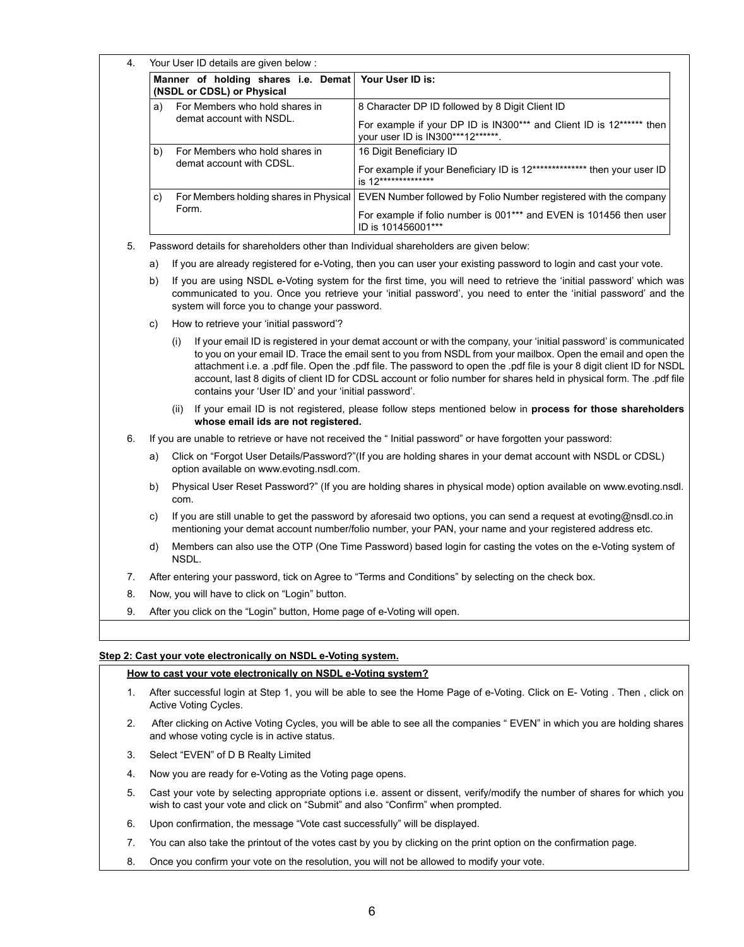| 4. |                                                                         | Your User ID details are given below:                                                                                                                                                                                                                                                                                                                                                                                                                                                                                                               |                                                                                                                   |  |  |  |
|----|-------------------------------------------------------------------------|-----------------------------------------------------------------------------------------------------------------------------------------------------------------------------------------------------------------------------------------------------------------------------------------------------------------------------------------------------------------------------------------------------------------------------------------------------------------------------------------------------------------------------------------------------|-------------------------------------------------------------------------------------------------------------------|--|--|--|
|    |                                                                         | Manner of holding shares i.e. Demat<br>(NSDL or CDSL) or Physical                                                                                                                                                                                                                                                                                                                                                                                                                                                                                   | Your User ID is:                                                                                                  |  |  |  |
|    | a)                                                                      | For Members who hold shares in                                                                                                                                                                                                                                                                                                                                                                                                                                                                                                                      | 8 Character DP ID followed by 8 Digit Client ID                                                                   |  |  |  |
|    |                                                                         | demat account with NSDL.                                                                                                                                                                                                                                                                                                                                                                                                                                                                                                                            | For example if your DP ID is IN300*** and Client ID is 12****** then<br>your user ID is IN300***12******.         |  |  |  |
|    | b)                                                                      | For Members who hold shares in                                                                                                                                                                                                                                                                                                                                                                                                                                                                                                                      | 16 Digit Beneficiary ID                                                                                           |  |  |  |
|    |                                                                         | demat account with CDSL.                                                                                                                                                                                                                                                                                                                                                                                                                                                                                                                            | For example if your Beneficiary ID is 12************** then your user ID<br>is 12**************                   |  |  |  |
|    | C)                                                                      | For Members holding shares in Physical                                                                                                                                                                                                                                                                                                                                                                                                                                                                                                              | EVEN Number followed by Folio Number registered with the company                                                  |  |  |  |
|    |                                                                         | Form.                                                                                                                                                                                                                                                                                                                                                                                                                                                                                                                                               | For example if folio number is 001*** and EVEN is 101456 then user<br>ID is 101456001***                          |  |  |  |
| 5. |                                                                         | Password details for shareholders other than Individual shareholders are given below:                                                                                                                                                                                                                                                                                                                                                                                                                                                               |                                                                                                                   |  |  |  |
|    | a)                                                                      |                                                                                                                                                                                                                                                                                                                                                                                                                                                                                                                                                     | If you are already registered for e-Voting, then you can user your existing password to login and cast your vote. |  |  |  |
|    | b)                                                                      | If you are using NSDL e-Voting system for the first time, you will need to retrieve the 'initial password' which was<br>communicated to you. Once you retrieve your 'initial password', you need to enter the 'initial password' and the<br>system will force you to change your password.                                                                                                                                                                                                                                                          |                                                                                                                   |  |  |  |
|    | C)                                                                      | How to retrieve your 'initial password'?                                                                                                                                                                                                                                                                                                                                                                                                                                                                                                            |                                                                                                                   |  |  |  |
|    |                                                                         | If your email ID is registered in your demat account or with the company, your 'initial password' is communicated<br>(i)<br>to you on your email ID. Trace the email sent to you from NSDL from your mailbox. Open the email and open the<br>attachment i.e. a .pdf file. Open the .pdf file. The password to open the .pdf file is your 8 digit client ID for NSDL<br>account, last 8 digits of client ID for CDSL account or folio number for shares held in physical form. The .pdf file<br>contains your 'User ID' and your 'initial password'. |                                                                                                                   |  |  |  |
|    |                                                                         | whose email ids are not registered.                                                                                                                                                                                                                                                                                                                                                                                                                                                                                                                 | (ii) If your email ID is not registered, please follow steps mentioned below in process for those shareholders    |  |  |  |
| 6. |                                                                         |                                                                                                                                                                                                                                                                                                                                                                                                                                                                                                                                                     | If you are unable to retrieve or have not received the "Initial password" or have forgotten your password:        |  |  |  |
|    | a)                                                                      | Click on "Forgot User Details/Password?"(If you are holding shares in your demat account with NSDL or CDSL)<br>option available on www.evoting.nsdl.com.                                                                                                                                                                                                                                                                                                                                                                                            |                                                                                                                   |  |  |  |
|    | b)                                                                      | Physical User Reset Password?" (If you are holding shares in physical mode) option available on www.evoting.nsdl.<br>com.                                                                                                                                                                                                                                                                                                                                                                                                                           |                                                                                                                   |  |  |  |
|    | c)                                                                      | If you are still unable to get the password by aforesaid two options, you can send a request at evoting@nsdl.co.in<br>mentioning your demat account number/folio number, your PAN, your name and your registered address etc.                                                                                                                                                                                                                                                                                                                       |                                                                                                                   |  |  |  |
|    | d)                                                                      | Members can also use the OTP (One Time Password) based login for casting the votes on the e-Voting system of<br>NSDL.                                                                                                                                                                                                                                                                                                                                                                                                                               |                                                                                                                   |  |  |  |
| 7. |                                                                         |                                                                                                                                                                                                                                                                                                                                                                                                                                                                                                                                                     | After entering your password, tick on Agree to "Terms and Conditions" by selecting on the check box.              |  |  |  |
| 8. |                                                                         | Now, you will have to click on "Login" button.                                                                                                                                                                                                                                                                                                                                                                                                                                                                                                      |                                                                                                                   |  |  |  |
| 9. | After you click on the "Login" button, Home page of e-Voting will open. |                                                                                                                                                                                                                                                                                                                                                                                                                                                                                                                                                     |                                                                                                                   |  |  |  |

# **Step 2: Cast your vote electronically on NSDL e-Voting system.**

# **How to cast your vote electronically on NSDL e-Voting system?**

- 1. After successful login at Step 1, you will be able to see the Home Page of e-Voting. Click on E- Voting . Then , click on Active Voting Cycles.
- 2. After clicking on Active Voting Cycles, you will be able to see all the companies " EVEN" in which you are holding shares and whose voting cycle is in active status.
- 3. Select "EVEN" of D B Realty Limited
- 4. Now you are ready for e-Voting as the Voting page opens.
- 5. Cast your vote by selecting appropriate options i.e. assent or dissent, verify/modify the number of shares for which you wish to cast your vote and click on "Submit" and also "Confirm" when prompted.
- 6. Upon confirmation, the message "Vote cast successfully" will be displayed.
- 7. You can also take the printout of the votes cast by you by clicking on the print option on the confirmation page.
- 8. Once you confirm your vote on the resolution, you will not be allowed to modify your vote.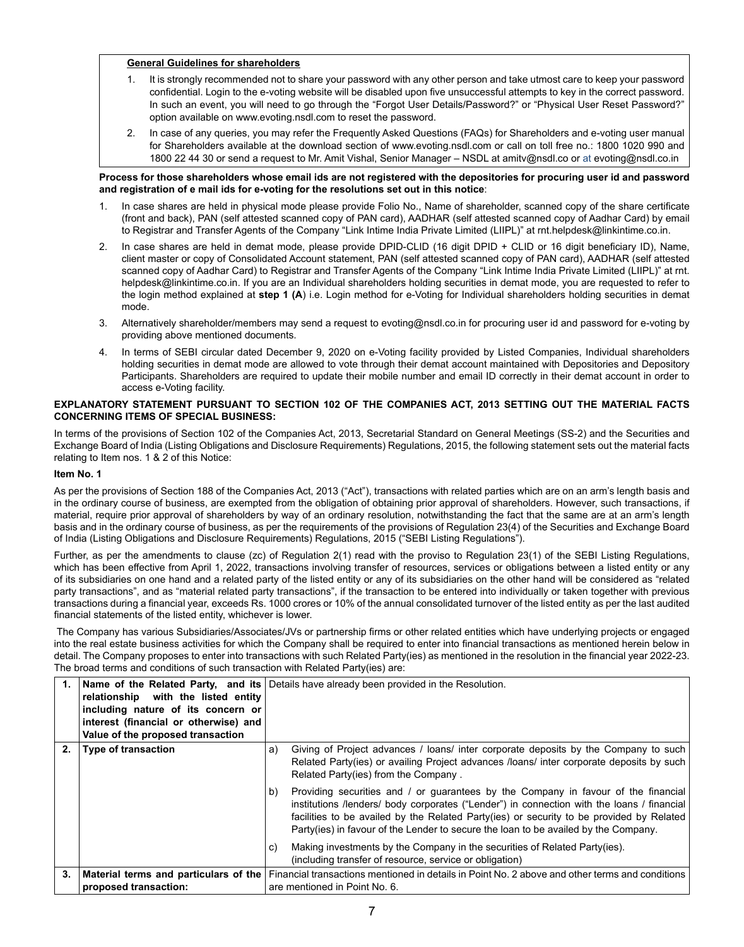## **General Guidelines for shareholders**

- 1. It is strongly recommended not to share your password with any other person and take utmost care to keep your password confidential. Login to the e-voting website will be disabled upon five unsuccessful attempts to key in the correct password. In such an event, you will need to go through the "Forgot User Details/Password?" or "Physical User Reset Password?" option available on www.evoting.nsdl.com to reset the password.
- 2. In case of any queries, you may refer the Frequently Asked Questions (FAQs) for Shareholders and e-voting user manual for Shareholders available at the download section of www.evoting.nsdl.com or call on toll free no.: 1800 1020 990 and 1800 22 44 30 or send a request to Mr. Amit Vishal, Senior Manager – NSDL at amitv@nsdl.co or at evoting@nsdl.co.in

#### **Process for those shareholders whose email ids are not registered with the depositories for procuring user id and password and registration of e mail ids for e-voting for the resolutions set out in this notice**:

- 1. In case shares are held in physical mode please provide Folio No., Name of shareholder, scanned copy of the share certificate (front and back), PAN (self attested scanned copy of PAN card), AADHAR (self attested scanned copy of Aadhar Card) by email to Registrar and Transfer Agents of the Company "Link Intime India Private Limited (LIIPL)" at rnt.helpdesk@linkintime.co.in.
- 2. In case shares are held in demat mode, please provide DPID-CLID (16 digit DPID + CLID or 16 digit beneficiary ID), Name, client master or copy of Consolidated Account statement, PAN (self attested scanned copy of PAN card), AADHAR (self attested scanned copy of Aadhar Card) to Registrar and Transfer Agents of the Company "Link Intime India Private Limited (LIIPL)" at rnt. helpdesk@linkintime.co.in. If you are an Individual shareholders holding securities in demat mode, you are requested to refer to the login method explained at **step 1 (A**) i.e. Login method for e-Voting for Individual shareholders holding securities in demat mode.
- 3. Alternatively shareholder/members may send a request to evoting@nsdl.co.in for procuring user id and password for e-voting by providing above mentioned documents.
- 4. In terms of SEBI circular dated December 9, 2020 on e-Voting facility provided by Listed Companies, Individual shareholders holding securities in demat mode are allowed to vote through their demat account maintained with Depositories and Depository Participants. Shareholders are required to update their mobile number and email ID correctly in their demat account in order to access e-Voting facility.

#### **EXPLANATORY STATEMENT PURSUANT TO SECTION 102 OF THE COMPANIES ACT, 2013 SETTING OUT THE MATERIAL FACTS CONCERNING ITEMS OF SPECIAL BUSINESS:**

In terms of the provisions of Section 102 of the Companies Act, 2013, Secretarial Standard on General Meetings (SS-2) and the Securities and Exchange Board of India (Listing Obligations and Disclosure Requirements) Regulations, 2015, the following statement sets out the material facts relating to Item nos. 1 & 2 of this Notice:

## **Item No. 1**

As per the provisions of Section 188 of the Companies Act, 2013 ("Act"), transactions with related parties which are on an arm's length basis and in the ordinary course of business, are exempted from the obligation of obtaining prior approval of shareholders. However, such transactions, if material, require prior approval of shareholders by way of an ordinary resolution, notwithstanding the fact that the same are at an arm's length basis and in the ordinary course of business, as per the requirements of the provisions of Regulation 23(4) of the Securities and Exchange Board of India (Listing Obligations and Disclosure Requirements) Regulations, 2015 ("SEBI Listing Regulations").

Further, as per the amendments to clause (zc) of Regulation 2(1) read with the proviso to Regulation 23(1) of the SEBI Listing Regulations, which has been effective from April 1, 2022, transactions involving transfer of resources, services or obligations between a listed entity or any of its subsidiaries on one hand and a related party of the listed entity or any of its subsidiaries on the other hand will be considered as "related party transactions", and as "material related party transactions", if the transaction to be entered into individually or taken together with previous transactions during a financial year, exceeds Rs. 1000 crores or 10% of the annual consolidated turnover of the listed entity as per the last audited financial statements of the listed entity, whichever is lower.

 The Company has various Subsidiaries/Associates/JVs or partnership firms or other related entities which have underlying projects or engaged into the real estate business activities for which the Company shall be required to enter into financial transactions as mentioned herein below in detail. The Company proposes to enter into transactions with such Related Party(ies) as mentioned in the resolution in the financial year 2022-23. The broad terms and conditions of such transaction with Related Party(ies) are:

| 1. | relationship with the listed entity<br>including nature of its concern or<br>interest (financial or otherwise) and<br>Value of the proposed transaction | <b>Name of the Related Party, and its</b> Details have already been provided in the Resolution.                                                                                                                                                                                                                                                                           |
|----|---------------------------------------------------------------------------------------------------------------------------------------------------------|---------------------------------------------------------------------------------------------------------------------------------------------------------------------------------------------------------------------------------------------------------------------------------------------------------------------------------------------------------------------------|
| 2. | <b>Type of transaction</b>                                                                                                                              | Giving of Project advances / loans/ inter corporate deposits by the Company to such<br>a)<br>Related Party(ies) or availing Project advances /loans/ inter corporate deposits by such<br>Related Party(ies) from the Company.                                                                                                                                             |
|    |                                                                                                                                                         | Providing securities and / or guarantees by the Company in favour of the financial<br>b)<br>institutions /lenders/ body corporates ("Lender") in connection with the loans / financial<br>facilities to be availed by the Related Party(ies) or security to be provided by Related<br>Party(ies) in favour of the Lender to secure the loan to be availed by the Company. |
|    |                                                                                                                                                         | Making investments by the Company in the securities of Related Party(ies).<br>C)<br>(including transfer of resource, service or obligation)                                                                                                                                                                                                                               |
| 3. | proposed transaction:                                                                                                                                   | Material terms and particulars of the Financial transactions mentioned in details in Point No. 2 above and other terms and conditions<br>are mentioned in Point No. 6.                                                                                                                                                                                                    |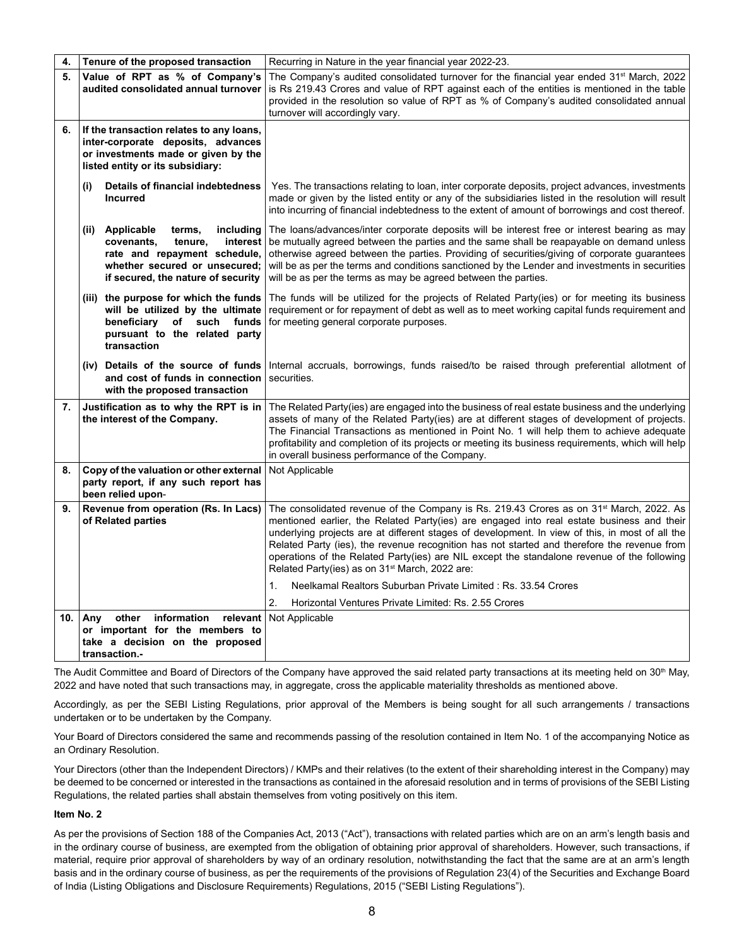| 4.  | Tenure of the proposed transaction                                                                                                                                                 | Recurring in Nature in the year financial year 2022-23.                                                                                                                                                                                                                                                                                                                                                                                                                                                                                                         |
|-----|------------------------------------------------------------------------------------------------------------------------------------------------------------------------------------|-----------------------------------------------------------------------------------------------------------------------------------------------------------------------------------------------------------------------------------------------------------------------------------------------------------------------------------------------------------------------------------------------------------------------------------------------------------------------------------------------------------------------------------------------------------------|
| 5.  | Value of RPT as % of Company's                                                                                                                                                     | The Company's audited consolidated turnover for the financial year ended 31 <sup>st</sup> March, 2022                                                                                                                                                                                                                                                                                                                                                                                                                                                           |
|     | audited consolidated annual turnover                                                                                                                                               | is Rs 219.43 Crores and value of RPT against each of the entities is mentioned in the table<br>provided in the resolution so value of RPT as % of Company's audited consolidated annual                                                                                                                                                                                                                                                                                                                                                                         |
|     |                                                                                                                                                                                    | turnover will accordingly vary.                                                                                                                                                                                                                                                                                                                                                                                                                                                                                                                                 |
| 6.  | If the transaction relates to any loans,<br>inter-corporate deposits, advances<br>or investments made or given by the<br>listed entity or its subsidiary:                          |                                                                                                                                                                                                                                                                                                                                                                                                                                                                                                                                                                 |
|     | Details of financial indebtedness<br>(i)<br><b>Incurred</b>                                                                                                                        | Yes. The transactions relating to loan, inter corporate deposits, project advances, investments<br>made or given by the listed entity or any of the subsidiaries listed in the resolution will result<br>into incurring of financial indebtedness to the extent of amount of borrowings and cost thereof.                                                                                                                                                                                                                                                       |
|     | (ii) Applicable<br>including<br>terms,<br>interest<br>covenants,<br>tenure,<br>rate and repayment schedule,<br>whether secured or unsecured;<br>if secured, the nature of security | The loans/advances/inter corporate deposits will be interest free or interest bearing as may<br>be mutually agreed between the parties and the same shall be reapayable on demand unless<br>otherwise agreed between the parties. Providing of securities/giving of corporate guarantees<br>will be as per the terms and conditions sanctioned by the Lender and investments in securities<br>will be as per the terms as may be agreed between the parties.                                                                                                    |
|     | (iii) the purpose for which the funds<br>will be utilized by the ultimate<br>beneficiary of such<br>funds<br>pursuant to the related party<br>transaction                          | The funds will be utilized for the projects of Related Party(ies) or for meeting its business<br>requirement or for repayment of debt as well as to meet working capital funds requirement and<br>for meeting general corporate purposes.                                                                                                                                                                                                                                                                                                                       |
|     | (iv) Details of the source of funds<br>and cost of funds in connection<br>with the proposed transaction                                                                            | Internal accruals, borrowings, funds raised/to be raised through preferential allotment of<br>securities.                                                                                                                                                                                                                                                                                                                                                                                                                                                       |
| 7.  | Justification as to why the RPT is in<br>the interest of the Company.                                                                                                              | The Related Party(ies) are engaged into the business of real estate business and the underlying<br>assets of many of the Related Party(ies) are at different stages of development of projects.<br>The Financial Transactions as mentioned in Point No. 1 will help them to achieve adequate<br>profitability and completion of its projects or meeting its business requirements, which will help<br>in overall business performance of the Company.                                                                                                           |
| 8.  | Copy of the valuation or other external<br>party report, if any such report has<br>been relied upon-                                                                               | Not Applicable                                                                                                                                                                                                                                                                                                                                                                                                                                                                                                                                                  |
| 9.  | Revenue from operation (Rs. In Lacs)<br>of Related parties                                                                                                                         | The consolidated revenue of the Company is Rs. 219.43 Crores as on 31 <sup>st</sup> March, 2022. As<br>mentioned earlier, the Related Party(ies) are engaged into real estate business and their<br>underlying projects are at different stages of development. In view of this, in most of all the<br>Related Party (ies), the revenue recognition has not started and therefore the revenue from<br>operations of the Related Party(ies) are NIL except the standalone revenue of the following<br>Related Party(ies) as on 31 <sup>st</sup> March, 2022 are: |
|     |                                                                                                                                                                                    | Neelkamal Realtors Suburban Private Limited: Rs. 33.54 Crores<br>1.                                                                                                                                                                                                                                                                                                                                                                                                                                                                                             |
|     |                                                                                                                                                                                    | 2.<br>Horizontal Ventures Private Limited: Rs. 2.55 Crores                                                                                                                                                                                                                                                                                                                                                                                                                                                                                                      |
| 10. | information<br>relevant<br>Any<br>other<br>or important for the members to<br>take a decision on the proposed<br>transaction.-                                                     | Not Applicable                                                                                                                                                                                                                                                                                                                                                                                                                                                                                                                                                  |

The Audit Committee and Board of Directors of the Company have approved the said related party transactions at its meeting held on 30<sup>th</sup> May, 2022 and have noted that such transactions may, in aggregate, cross the applicable materiality thresholds as mentioned above.

Accordingly, as per the SEBI Listing Regulations, prior approval of the Members is being sought for all such arrangements / transactions undertaken or to be undertaken by the Company.

Your Board of Directors considered the same and recommends passing of the resolution contained in Item No. 1 of the accompanying Notice as an Ordinary Resolution.

Your Directors (other than the Independent Directors) / KMPs and their relatives (to the extent of their shareholding interest in the Company) may be deemed to be concerned or interested in the transactions as contained in the aforesaid resolution and in terms of provisions of the SEBI Listing Regulations, the related parties shall abstain themselves from voting positively on this item.

## **Item No. 2**

As per the provisions of Section 188 of the Companies Act, 2013 ("Act"), transactions with related parties which are on an arm's length basis and in the ordinary course of business, are exempted from the obligation of obtaining prior approval of shareholders. However, such transactions, if material, require prior approval of shareholders by way of an ordinary resolution, notwithstanding the fact that the same are at an arm's length basis and in the ordinary course of business, as per the requirements of the provisions of Regulation 23(4) of the Securities and Exchange Board of India (Listing Obligations and Disclosure Requirements) Regulations, 2015 ("SEBI Listing Regulations").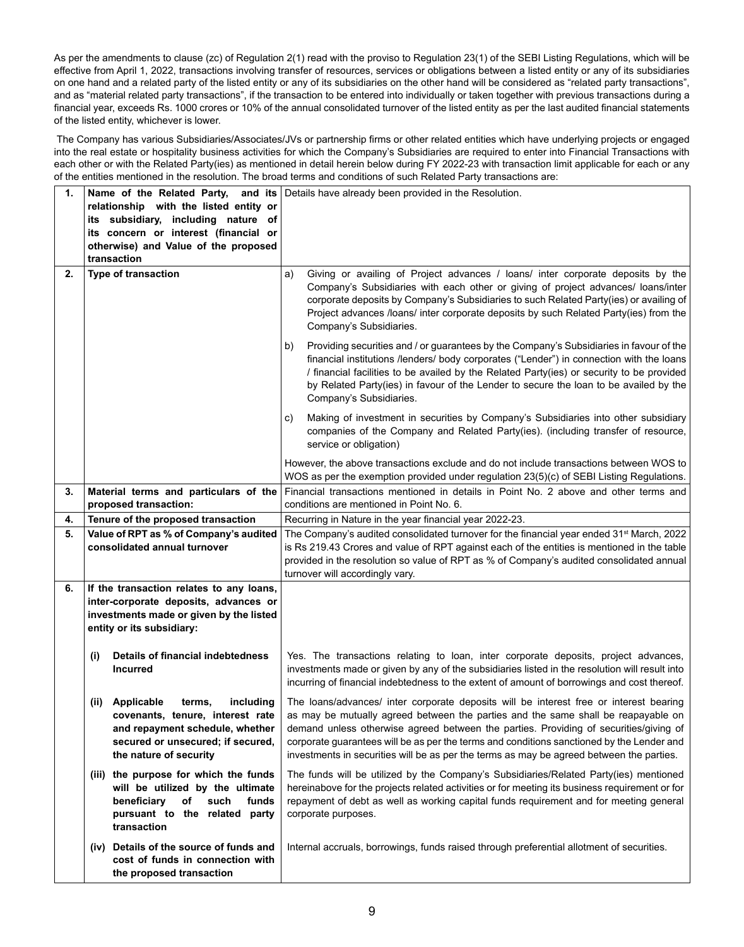As per the amendments to clause (zc) of Regulation 2(1) read with the proviso to Regulation 23(1) of the SEBI Listing Regulations, which will be effective from April 1, 2022, transactions involving transfer of resources, services or obligations between a listed entity or any of its subsidiaries on one hand and a related party of the listed entity or any of its subsidiaries on the other hand will be considered as "related party transactions", and as "material related party transactions", if the transaction to be entered into individually or taken together with previous transactions during a financial year, exceeds Rs. 1000 crores or 10% of the annual consolidated turnover of the listed entity as per the last audited financial statements of the listed entity, whichever is lower.

 The Company has various Subsidiaries/Associates/JVs or partnership firms or other related entities which have underlying projects or engaged into the real estate or hospitality business activities for which the Company's Subsidiaries are required to enter into Financial Transactions with each other or with the Related Party(ies) as mentioned in detail herein below during FY 2022-23 with transaction limit applicable for each or any of the entities mentioned in the resolution. The broad terms and conditions of such Related Party transactions are:

| 1. | relationship with the listed entity or<br>its subsidiary, including nature of<br>its concern or interest (financial or<br>otherwise) and Value of the proposed<br>transaction   | Name of the Related Party, and its Details have already been provided in the Resolution.                                                                                                                                                                                                                                                                                                                                                                      |
|----|---------------------------------------------------------------------------------------------------------------------------------------------------------------------------------|---------------------------------------------------------------------------------------------------------------------------------------------------------------------------------------------------------------------------------------------------------------------------------------------------------------------------------------------------------------------------------------------------------------------------------------------------------------|
| 2. | Type of transaction                                                                                                                                                             | Giving or availing of Project advances / loans/ inter corporate deposits by the<br>a)<br>Company's Subsidiaries with each other or giving of project advances/ loans/inter<br>corporate deposits by Company's Subsidiaries to such Related Party(ies) or availing of<br>Project advances /loans/ inter corporate deposits by such Related Party(ies) from the<br>Company's Subsidiaries.                                                                      |
|    |                                                                                                                                                                                 | Providing securities and / or guarantees by the Company's Subsidiaries in favour of the<br>b)<br>financial institutions /lenders/ body corporates ("Lender") in connection with the loans<br>/ financial facilities to be availed by the Related Party(ies) or security to be provided<br>by Related Party(ies) in favour of the Lender to secure the loan to be availed by the<br>Company's Subsidiaries.                                                    |
|    |                                                                                                                                                                                 | Making of investment in securities by Company's Subsidiaries into other subsidiary<br>C)<br>companies of the Company and Related Party(ies). (including transfer of resource,<br>service or obligation)                                                                                                                                                                                                                                                       |
|    |                                                                                                                                                                                 | However, the above transactions exclude and do not include transactions between WOS to<br>WOS as per the exemption provided under regulation $23(5)(c)$ of SEBI Listing Regulations.                                                                                                                                                                                                                                                                          |
| 3. | Material terms and particulars of the<br>proposed transaction:                                                                                                                  | Financial transactions mentioned in details in Point No. 2 above and other terms and<br>conditions are mentioned in Point No. 6.                                                                                                                                                                                                                                                                                                                              |
| 4. | Tenure of the proposed transaction                                                                                                                                              | Recurring in Nature in the year financial year 2022-23.                                                                                                                                                                                                                                                                                                                                                                                                       |
| 5. | Value of RPT as % of Company's audited<br>consolidated annual turnover                                                                                                          | The Company's audited consolidated turnover for the financial year ended 31 <sup>st</sup> March, 2022<br>is Rs 219.43 Crores and value of RPT against each of the entities is mentioned in the table<br>provided in the resolution so value of RPT as % of Company's audited consolidated annual<br>turnover will accordingly vary.                                                                                                                           |
| 6. | If the transaction relates to any loans,<br>inter-corporate deposits, advances or<br>investments made or given by the listed<br>entity or its subsidiary:                       |                                                                                                                                                                                                                                                                                                                                                                                                                                                               |
|    | Details of financial indebtedness<br>(i)<br><b>Incurred</b>                                                                                                                     | Yes. The transactions relating to loan, inter corporate deposits, project advances,<br>investments made or given by any of the subsidiaries listed in the resolution will result into<br>incurring of financial indebtedness to the extent of amount of borrowings and cost thereof.                                                                                                                                                                          |
|    | Applicable<br>terms,<br>including<br>(ii)<br>covenants, tenure, interest rate<br>and repayment schedule, whether<br>secured or unsecured; if secured,<br>the nature of security | The loans/advances/ inter corporate deposits will be interest free or interest bearing<br>as may be mutually agreed between the parties and the same shall be reapayable on<br>demand unless otherwise agreed between the parties. Providing of securities/giving of<br>corporate guarantees will be as per the terms and conditions sanctioned by the Lender and<br>investments in securities will be as per the terms as may be agreed between the parties. |
|    | (iii) the purpose for which the funds<br>will be utilized by the ultimate<br>beneficiary<br>of<br>such<br>funds<br>pursuant to the related party<br>transaction                 | The funds will be utilized by the Company's Subsidiaries/Related Party(ies) mentioned<br>hereinabove for the projects related activities or for meeting its business requirement or for<br>repayment of debt as well as working capital funds requirement and for meeting general<br>corporate purposes.                                                                                                                                                      |
|    | (iv) Details of the source of funds and<br>cost of funds in connection with<br>the proposed transaction                                                                         | Internal accruals, borrowings, funds raised through preferential allotment of securities.                                                                                                                                                                                                                                                                                                                                                                     |